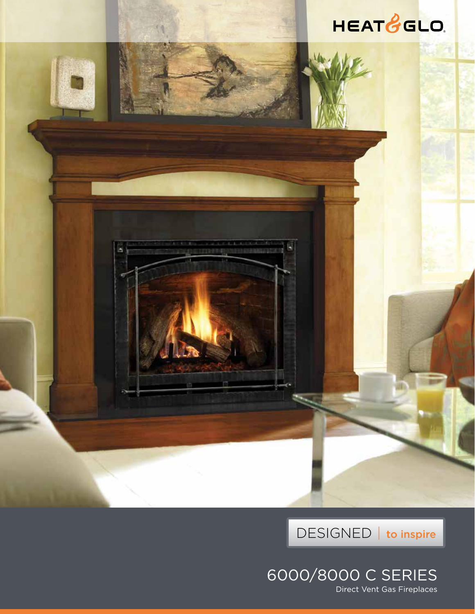# HEAT<sup><sup>2</sup>GLO.</sup>



## 6000/8000 C SERIES

Direct Vent Gas Fireplaces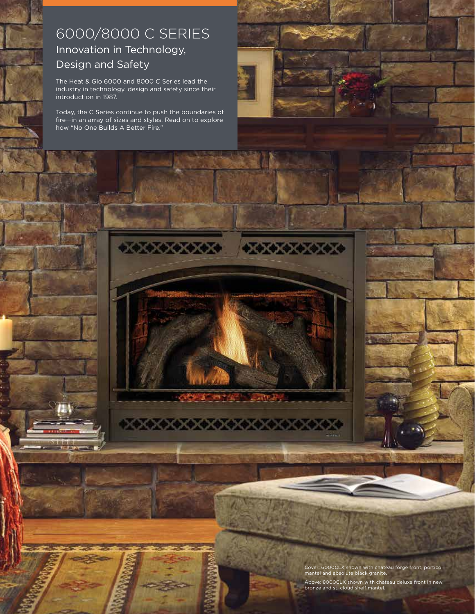## 6000/8000 C SERIES Innovation in Technology, Design and Safety

The Heat & Glo 6000 and 8000 C Series lead the industry in technology, design and safety since their introduction in 1987.

Today, the C Series continue to push the boundaries of fire—in an array of sizes and styles. Read on to explore how "No One Builds A Better Fire."

**\*I\*I\*I\*I\*I\*I\* \*I\*I\*I\*I\*I\*I\*** 

Cover: 6000CLX shown with chateau forge front, portico mantel and absolute black granite. Above: 8000CLX shown with chateau deluxe front in new bronze and st. cloud shelf mantel.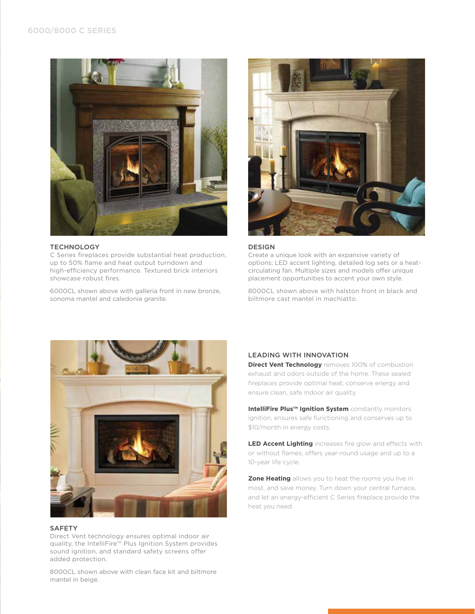

#### **TECHNOLOGY**

C Series fireplaces provide substantial heat production, up to 50% flame and heat output turndown and high-efficiency performance. Textured brick interiors showcase robust fires.

6000CL shown above with galleria front in new bronze, sonoma mantel and caledonia granite.



#### DESIGN

Create a unique look with an expansive variety of options; LED accent lighting, detailed log sets or a heatcirculating fan. Multiple sizes and models offer unique placement opportunities to accent your own style.

8000CL shown above with halston front in black and biltmore cast mantel in machiatto.



#### **SAFETY**

Direct Vent technology ensures optimal indoor air quality, the IntelliFire™ Plus Ignition System provides sound ignition, and standard safety screens offer added protection.

8000CL shown above with clean face kit and biltmore mantel in beige.

### Leading with Innovation

**Direct Vent Technology** removes 100% of combustion exhaust and odors outside of the home. These sealed fireplaces provide optimal heat, conserve energy and ensure clean, safe indoor air quality.

**IntelliFire Plus™ Ignition System** constantly monitors ignition, ensures safe functioning and conserves up to \$10/month in energy costs.

**LED Accent Lighting** increases fire glow and effects with or without flames, offers year-round usage and up to a 10-year life cycle.

**Zone Heating** allows you to heat the rooms you live in most, and save money. Turn down your central furnace, and let an energy-efficient C Series fireplace provide the heat you need.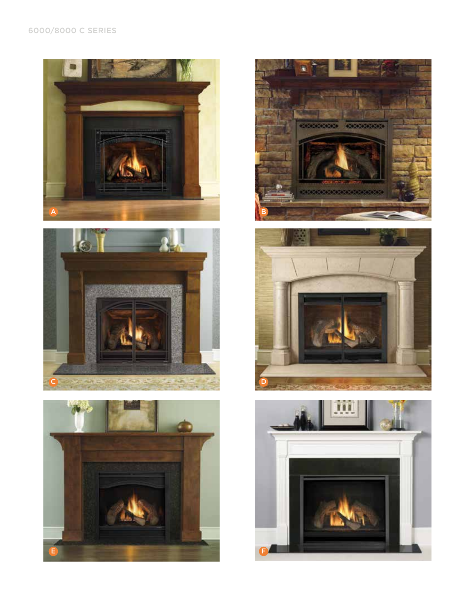









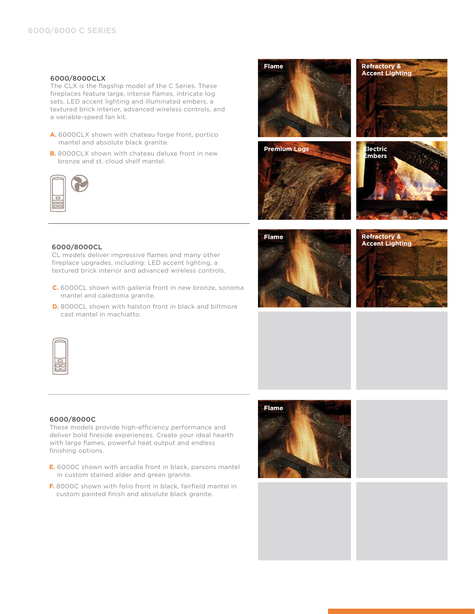#### 6000/8000CLX

The CLX is the flagship model of the C Series. These fireplaces feature large, intense flames, intricate log sets, LED accent lighting and illuminated embers, a textured brick interior, advanced wireless controls, and a variable-speed fan kit.

- **A.** 6000CLX shown with chateau forge front, portico mantel and absolute black granite.
- **B.** 8000CLX shown with chateau deluxe front in new bronze and st. cloud shelf mantel.



#### **Accent Lighting** 6000/8000CL

CL models deliver impressive flames and many other fireplace upgrades, including: LED accent lighting, a textured brick interior and advanced wireless controls.

- **C.** 6000CL shown with galleria front in new bronze, sonoma mantel and caledonia granite.
- **D.** 8000CL shown with halston front in black and biltmore cast mantel in machiatto.









#### 6000/8000C

These models provide high-efficiency performance and deliver bold fireside experiences. Create your ideal hearth with large flames, powerful heat output and endless finishing options.

- **E.** 6000C shown with arcadia front in black, parsons mantel in custom stained alder and green granite.
- **F.** 8000C shown with folio front in black, fairfield mantel in custom painted finish and absolute black granite.

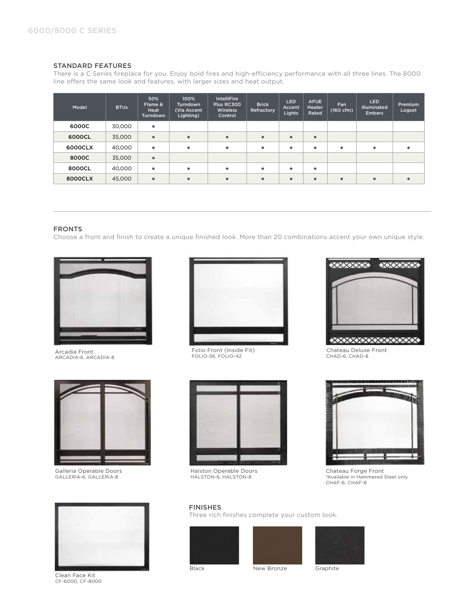#### STANDARD FEATURES

There is a C Series fireplace for you. Enjoy bold fires and high-efficiency performance with all three lines. The 8000 line offers the same look and features, with larger sizes and heat output.

| Model   | <b>BTUs</b> | 50%<br>Flame &<br>Heat<br><b>Turndown</b> | 100%<br><b>Turndown</b><br>(Via Accent)<br>Lighting) | <b>IntelliFire</b><br>Plus RC300<br><b>Wireless</b><br>Control | <b>Brick</b><br>Refractory | <b>LED</b><br>Accent<br>Lights | <b>AFUE</b><br>Heater<br>Rated | Fan<br>$(160 \text{ cfm})$ | <b>LED</b><br><b>Illuminated</b><br><b>Embers</b> | Premium<br>Logset |
|---------|-------------|-------------------------------------------|------------------------------------------------------|----------------------------------------------------------------|----------------------------|--------------------------------|--------------------------------|----------------------------|---------------------------------------------------|-------------------|
| 6000C   | 30,000      | $\bullet$                                 |                                                      |                                                                |                            |                                |                                |                            |                                                   |                   |
| 6000CL  | 35,000      | $\bullet$                                 | $\bullet$                                            | ٠                                                              | $\bullet$                  |                                | $\bullet$                      |                            |                                                   |                   |
| 6000CLX | 40,000      | $\bullet$                                 | $\bullet$                                            | ٠                                                              | ٠                          | ٠                              | $\bullet$                      | ٠                          | $\bullet$                                         | ٠                 |
| 8000C   | 35,000      | $\bullet$                                 |                                                      |                                                                |                            |                                |                                |                            |                                                   |                   |
| 8000CL  | 40,000      | $\bullet$                                 | $\bullet$                                            | ٠                                                              | ٠                          |                                | $\bullet$                      |                            |                                                   |                   |
| 8000CLX | 45,000      | $\bullet$                                 | $\bullet$                                            |                                                                | $\bullet$                  |                                | $\bullet$                      |                            | $\bullet$                                         | ٠                 |

#### **FRONTS**

Choose a front and finish to create a unique finished look. More than 20 combinations accent your own unique style.



Arcadia Front ARCADIA-6, ARCADIA-8



Folio Front (Inside Fit) FOLIO-36, FOLIO-42



Chateau Deluxe Front CHAD-6, CHAD-8



Galleria Operable Doors GALLERIA-6, GALLERIA-8



Clean Face Kit CF-6000, CF-8000



Halston Operable Doors HALSTON-6, HALSTON-8



Chateau Forge Front \*Available in Hammered Steel only CHAF-6, CHAF-8

FINISHES<br>Three rich finishes complete your custom look.







Black New Bronze Graphite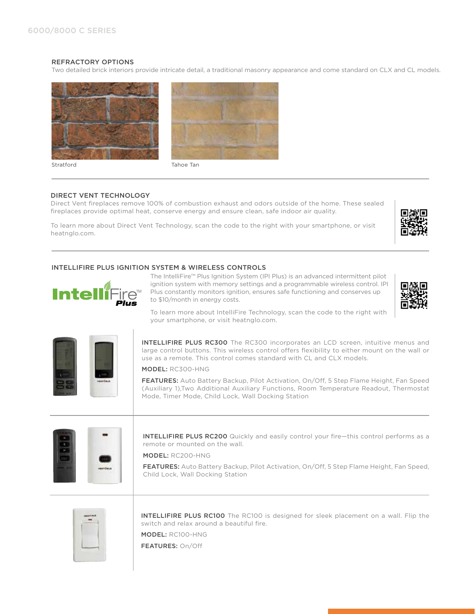#### Refractory options

Two detailed brick interiors provide intricate detail, a traditional masonry appearance and come standard on CLX and CL models.





#### direct vent technology

Direct Vent fireplaces remove 100% of combustion exhaust and odors outside of the home. These sealed fireplaces provide optimal heat, conserve energy and ensure clean, safe indoor air quality.

To learn more about Direct Vent Technology, scan the code to the right with your smartphone, or visit heatnglo.com.



#### IntelliFire Plus Ignition System & Wireless Controls



The IntelliFire™ Plus Ignition System (IPI Plus) is an advanced intermittent pilot ignition system with memory settings and a programmable wireless control. IPI Plus constantly monitors ignition, ensures safe functioning and conserves up to \$10/month in energy costs.



To learn more about IntelliFire Technology, scan the code to the right with your smartphone, or visit heatnglo.com.



**INTELLIFIRE PLUS RC300** The RC300 incorporates an LCD screen, intuitive menus and large control buttons. This wireless control offers flexibility to either mount on the wall or use as a remote. This control comes standard with CL and CLX models.

Model: RC300-HNG

FEATURES: Auto Battery Backup, Pilot Activation, On/Off, 5 Step Flame Height, Fan Speed (Auxiliary 1),Two Additional Auxiliary Functions, Room Temperature Readout, Thermostat Mode, Timer Mode, Child Lock, Wall Docking Station



INTELLIFIRE PLUS RC200 Quickly and easily control your fire-this control performs as a remote or mounted on the wall.

Model: RC200-HNG

FEATURES: Auto Battery Backup, Pilot Activation, On/Off, 5 Step Flame Height, Fan Speed, Child Lock, Wall Docking Station



**INTELLIFIRE PLUS RC100** The RC100 is designed for sleek placement on a wall. Flip the switch and relax around a beautiful fire.

Model: RC100-HNG

FEATURES: On/Off